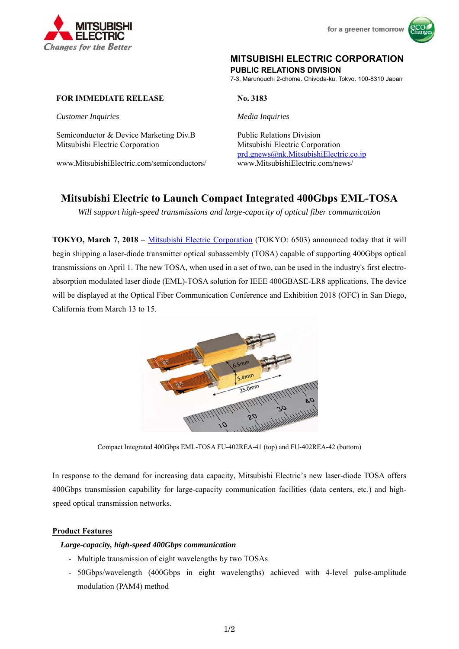



# **MITSUBISHI ELECTRIC CORPORATION**

**PUBLIC RELATIONS DIVISION** 

7-3, Marunouchi 2-chome, Chiyoda-ku, Tokyo, 100-8310 Japan

# **FOR IMMEDIATE RELEASE No. 3183**

*Customer Inquiries Media Inquiries*

Semiconductor & Device Marketing Div.B Public Relations Division Mitsubishi Electric Corporation Mitsubishi Electric Corporation

www.MitsubishiElectric.com/semiconductors/ www.MitsubishiElectric.com/news/

prd.gnews@nk.MitsubishiElectric.co.jp

# **Mitsubishi Electric to Launch Compact Integrated 400Gbps EML-TOSA**

*Will support high-speed transmissions and large-capacity of optical fiber communication* 

**TOKYO, March 7, 2018** – Mitsubishi Electric Corporation (TOKYO: 6503) announced today that it will begin shipping a laser-diode transmitter optical subassembly (TOSA) capable of supporting 400Gbps optical transmissions on April 1. The new TOSA, when used in a set of two, can be used in the industry's first electroabsorption modulated laser diode (EML)-TOSA solution for IEEE 400GBASE-LR8 applications. The device will be displayed at the Optical Fiber Communication Conference and Exhibition 2018 (OFC) in San Diego, California from March 13 to 15.



Compact Integrated 400Gbps EML-TOSA FU-402REA-41 (top) and FU-402REA-42 (bottom)

In response to the demand for increasing data capacity, Mitsubishi Electric's new laser-diode TOSA offers 400Gbps transmission capability for large-capacity communication facilities (data centers, etc.) and highspeed optical transmission networks.

#### **Product Features**

#### *Large-capacity, high-speed 400Gbps communication*

- Multiple transmission of eight wavelengths by two TOSAs
- 50Gbps/wavelength (400Gbps in eight wavelengths) achieved with 4-level pulse-amplitude modulation (PAM4) method